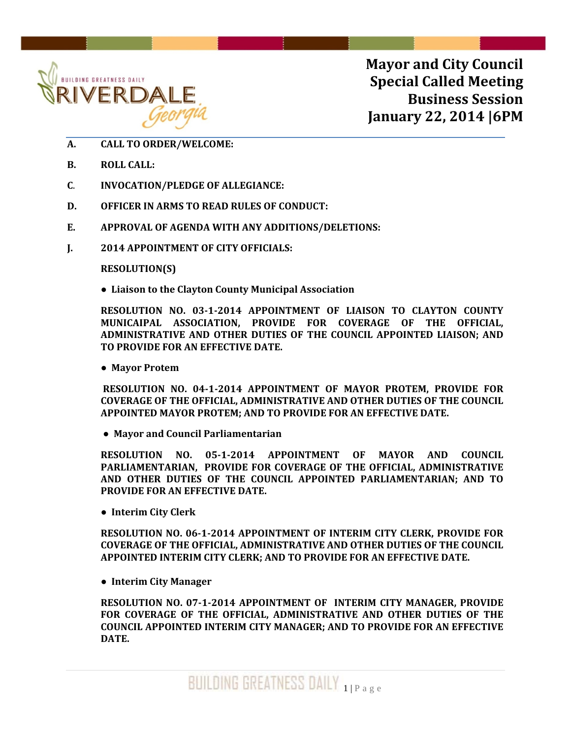

**Mayor and City Council Special Called Meeting Business Session January 22, 2014 |6PM**

- **A. CALL TO ORDER/WELCOME:**
- **B. ROLL CALL:**
- **C**. **INVOCATION/PLEDGE OF ALLEGIANCE:**
- **D. OFFICER IN ARMS TO READ RULES OF CONDUCT:**
- **E. APPROVAL OF AGENDA WITH ANY ADDITIONS/DELETIONS:**
- **J. 2014 APPOINTMENT OF CITY OFFICIALS:**

## **RESOLUTION(S)**

**● Liaison to the Clayton County Municipal Association**

**RESOLUTION NO. 03‐1‐2014 APPOINTMENT OF LIAISON TO CLAYTON COUNTY MUNICAIPAL ASSOCIATION, PROVIDE FOR COVERAGE OF THE OFFICIAL, ADMINISTRATIVE AND OTHER DUTIES OF THE COUNCIL APPOINTED LIAISON; AND TO PROVIDE FOR AN EFFECTIVE DATE.**

**● Mayor Protem** 

**RESOLUTION NO. 04‐1‐2014 APPOINTMENT OF MAYOR PROTEM, PROVIDE FOR COVERAGE OF THE OFFICIAL, ADMINISTRATIVE AND OTHER DUTIES OF THE COUNCIL APPOINTED MAYOR PROTEM; AND TO PROVIDE FOR AN EFFECTIVE DATE.**

 **● Mayor and Council Parliamentarian**

**RESOLUTION NO. 05‐1‐2014 APPOINTMENT OF MAYOR AND COUNCIL PARLIAMENTARIAN, PROVIDE FOR COVERAGE OF THE OFFICIAL, ADMINISTRATIVE AND OTHER DUTIES OF THE COUNCIL APPOINTED PARLIAMENTARIAN; AND TO PROVIDE FOR AN EFFECTIVE DATE.**

**● Interim City Clerk**

**RESOLUTION NO. 06‐1‐2014 APPOINTMENT OF INTERIM CITY CLERK, PROVIDE FOR COVERAGE OF THE OFFICIAL, ADMINISTRATIVE AND OTHER DUTIES OF THE COUNCIL APPOINTED INTERIM CITY CLERK; AND TO PROVIDE FOR AN EFFECTIVE DATE.**

**● Interim City Manager**

**RESOLUTION NO. 07‐1‐2014 APPOINTMENT OF INTERIM CITY MANAGER, PROVIDE FOR COVERAGE OF THE OFFICIAL, ADMINISTRATIVE AND OTHER DUTIES OF THE COUNCIL APPOINTED INTERIM CITY MANAGER; AND TO PROVIDE FOR AN EFFECTIVE DATE.**